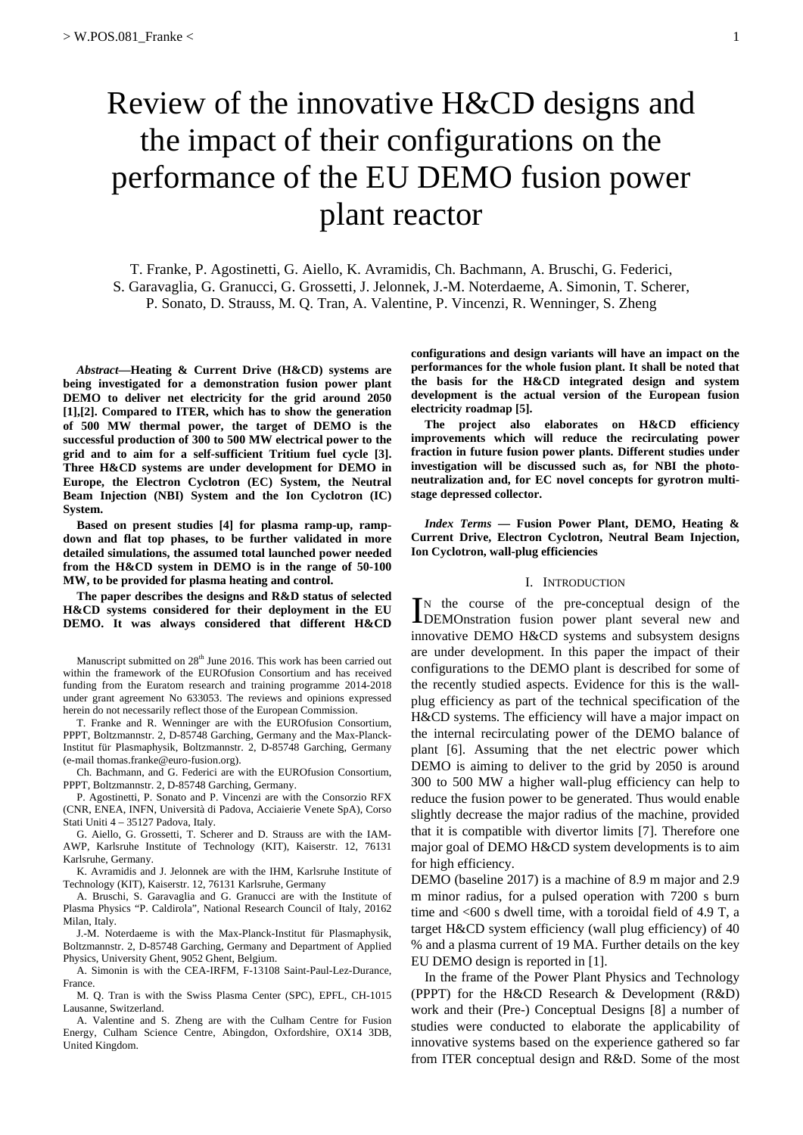# Review of the innovative H&CD designs and the impact of their configurations on the performance of the EU DEMO fusion power plant reactor

T. Franke, P. Agostinetti, G. Aiello, K. Avramidis, Ch. Bachmann, A. Bruschi, G. Federici, S. Garavaglia, G. Granucci, G. Grossetti, J. Jelonnek, J.-M. Noterdaeme, A. Simonin, T. Scherer, P. Sonato, D. Strauss, M. Q. Tran, A. Valentine, P. Vincenzi, R. Wenninger, S. Zheng

*Abstract***—Heating & Current Drive (H&CD) systems are being investigated for a demonstration fusion power plant DEMO to deliver net electricity for the grid around 2050 [1],[2]. Compared to ITER, which has to show the generation of 500 MW thermal power, the target of DEMO is the successful production of 300 to 500 MW electrical power to the grid and to aim for a self-sufficient Tritium fuel cycle [3]. Three H&CD systems are under development for DEMO in Europe, the Electron Cyclotron (EC) System, the Neutral Beam Injection (NBI) System and the Ion Cyclotron (IC) System.** 

**Based on present studies [4] for plasma ramp-up, rampdown and flat top phases, to be further validated in more detailed simulations, the assumed total launched power needed from the H&CD system in DEMO is in the range of 50-100 MW, to be provided for plasma heating and control.** 

**The paper describes the designs and R&D status of selected H&CD systems considered for their deployment in the EU DEMO. It was always considered that different H&CD** 

Manuscript submitted on 28<sup>th</sup> June 2016. This work has been carried out within the framework of the EUROfusion Consortium and has received funding from the Euratom research and training programme 2014-2018 under grant agreement No 633053. The reviews and opinions expressed herein do not necessarily reflect those of the European Commission.

T. Franke and R. Wenninger are with the EUROfusion Consortium, PPPT, Boltzmannstr. 2, D-85748 Garching, Germany and the Max-Planck-Institut für Plasmaphysik, Boltzmannstr. 2, D-85748 Garching, Germany (e-mail thomas.franke@euro-fusion.org).

Ch. Bachmann, and G. Federici are with the EUROfusion Consortium, PPPT, Boltzmannstr. 2, D-85748 Garching, Germany.

P. Agostinetti, P. Sonato and P. Vincenzi are with the Consorzio RFX (CNR, ENEA, INFN, Università di Padova, Acciaierie Venete SpA), Corso Stati Uniti 4 – 35127 Padova, Italy.

G. Aiello, G. Grossetti, T. Scherer and D. Strauss are with the IAM-AWP, Karlsruhe Institute of Technology (KIT), Kaiserstr. 12, 76131 Karlsruhe, Germany.

K. Avramidis and J. Jelonnek are with the IHM, Karlsruhe Institute of Technology (KIT), Kaiserstr. 12, 76131 Karlsruhe, Germany

A. Bruschi, S. Garavaglia and G. Granucci are with the Institute of Plasma Physics "P. Caldirola", National Research Council of Italy, 20162 Milan, Italy.

J.-M. Noterdaeme is with the Max-Planck-Institut für Plasmaphysik, Boltzmannstr. 2, D-85748 Garching, Germany and Department of Applied Physics, University Ghent, 9052 Ghent, Belgium.

A. Simonin is with the CEA-IRFM, F-13108 Saint-Paul-Lez-Durance, France.

M. Q. Tran is with the Swiss Plasma Center (SPC), EPFL, CH-1015 Lausanne, Switzerland.

A. Valentine and S. Zheng are with the Culham Centre for Fusion Energy, Culham Science Centre, Abingdon, Oxfordshire, OX14 3DB, United Kingdom.

**configurations and design variants will have an impact on the performances for the whole fusion plant. It shall be noted that the basis for the H&CD integrated design and system development is the actual version of the European fusion electricity roadmap [5].** 

**The project also elaborates on H&CD efficiency improvements which will reduce the recirculating power fraction in future fusion power plants. Different studies under investigation will be discussed such as, for NBI the photoneutralization and, for EC novel concepts for gyrotron multistage depressed collector.** 

*Index Terms* **— Fusion Power Plant, DEMO, Heating & Current Drive, Electron Cyclotron, Neutral Beam Injection, Ion Cyclotron, wall-plug efficiencies** 

### I. INTRODUCTION

N the course of the pre-conceptual design of the In the course of the pre-conceptual design of the DEMOnstration fusion power plant several new and innovative DEMO H&CD systems and subsystem designs are under development. In this paper the impact of their configurations to the DEMO plant is described for some of the recently studied aspects. Evidence for this is the wallplug efficiency as part of the technical specification of the H&CD systems. The efficiency will have a major impact on the internal recirculating power of the DEMO balance of plant [6]. Assuming that the net electric power which DEMO is aiming to deliver to the grid by 2050 is around 300 to 500 MW a higher wall-plug efficiency can help to reduce the fusion power to be generated. Thus would enable slightly decrease the major radius of the machine, provided that it is compatible with divertor limits [7]. Therefore one major goal of DEMO H&CD system developments is to aim for high efficiency.

DEMO (baseline 2017) is a machine of 8.9 m major and 2.9 m minor radius, for a pulsed operation with 7200 s burn time and <600 s dwell time, with a toroidal field of 4.9 T, a target H&CD system efficiency (wall plug efficiency) of 40 % and a plasma current of 19 MA. Further details on the key EU DEMO design is reported in [1].

In the frame of the Power Plant Physics and Technology (PPPT) for the H&CD Research & Development (R&D) work and their (Pre-) Conceptual Designs [8] a number of studies were conducted to elaborate the applicability of innovative systems based on the experience gathered so far from ITER conceptual design and R&D. Some of the most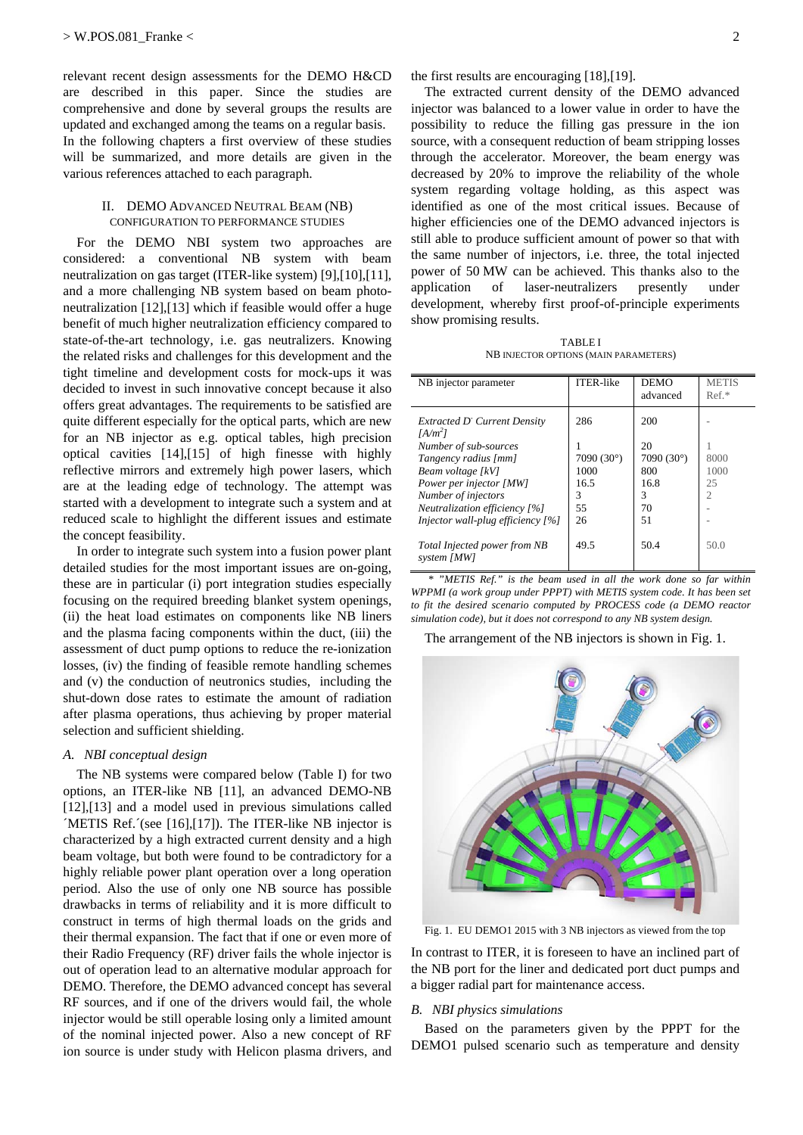relevant recent design assessments for the DEMO H&CD are described in this paper. Since the studies are comprehensive and done by several groups the results are updated and exchanged among the teams on a regular basis. In the following chapters a first overview of these studies will be summarized, and more details are given in the various references attached to each paragraph.

## II. DEMO ADVANCED NEUTRAL BEAM (NB) CONFIGURATION TO PERFORMANCE STUDIES

For the DEMO NBI system two approaches are considered: a conventional NB system with beam neutralization on gas target (ITER-like system) [9],[10],[11], and a more challenging NB system based on beam photoneutralization [12],[13] which if feasible would offer a huge benefit of much higher neutralization efficiency compared to state-of-the-art technology, i.e. gas neutralizers. Knowing the related risks and challenges for this development and the tight timeline and development costs for mock-ups it was decided to invest in such innovative concept because it also offers great advantages. The requirements to be satisfied are quite different especially for the optical parts, which are new for an NB injector as e.g. optical tables, high precision optical cavities [14],[15] of high finesse with highly reflective mirrors and extremely high power lasers, which are at the leading edge of technology. The attempt was started with a development to integrate such a system and at reduced scale to highlight the different issues and estimate the concept feasibility.

In order to integrate such system into a fusion power plant detailed studies for the most important issues are on-going, these are in particular (i) port integration studies especially focusing on the required breeding blanket system openings, (ii) the heat load estimates on components like NB liners and the plasma facing components within the duct, (iii) the assessment of duct pump options to reduce the re-ionization losses, (iv) the finding of feasible remote handling schemes and (v) the conduction of neutronics studies, including the shut-down dose rates to estimate the amount of radiation after plasma operations, thus achieving by proper material selection and sufficient shielding.

#### *A. NBI conceptual design*

The NB systems were compared below (Table I) for two options, an ITER-like NB [11], an advanced DEMO-NB [12],[13] and a model used in previous simulations called ´METIS Ref.´(see [16],[17]). The ITER-like NB injector is characterized by a high extracted current density and a high beam voltage, but both were found to be contradictory for a highly reliable power plant operation over a long operation period. Also the use of only one NB source has possible drawbacks in terms of reliability and it is more difficult to construct in terms of high thermal loads on the grids and their thermal expansion. The fact that if one or even more of their Radio Frequency (RF) driver fails the whole injector is out of operation lead to an alternative modular approach for DEMO. Therefore, the DEMO advanced concept has several RF sources, and if one of the drivers would fail, the whole injector would be still operable losing only a limited amount of the nominal injected power. Also a new concept of RF ion source is under study with Helicon plasma drivers, and the first results are encouraging [18],[19].

The extracted current density of the DEMO advanced injector was balanced to a lower value in order to have the possibility to reduce the filling gas pressure in the ion source, with a consequent reduction of beam stripping losses through the accelerator. Moreover, the beam energy was decreased by 20% to improve the reliability of the whole system regarding voltage holding, as this aspect was identified as one of the most critical issues. Because of higher efficiencies one of the DEMO advanced injectors is still able to produce sufficient amount of power so that with the same number of injectors, i.e. three, the total injected power of 50 MW can be achieved. This thanks also to the application of laser-neutralizers presently under development, whereby first proof-of-principle experiments show promising results.

TABLE I NB INJECTOR OPTIONS (MAIN PARAMETERS)

| NB injector parameter                                                                                                                                                                                                                            | <b>ITER-like</b>                                            | <b>DEMO</b><br>advanced                                          | <b>METIS</b><br>$Ref.*$ |
|--------------------------------------------------------------------------------------------------------------------------------------------------------------------------------------------------------------------------------------------------|-------------------------------------------------------------|------------------------------------------------------------------|-------------------------|
| <b>Extracted D' Current Density</b><br>$[A/m^2]$<br>Number of sub-sources<br>Tangency radius [mm]<br>Beam voltage [kV]<br>Power per injector [MW]<br>Number of injectors<br>Neutralization efficiency [%]<br>Injector wall-plug efficiency $[%]$ | 286<br>7090 $(30^{\circ})$<br>1000<br>16.5<br>3<br>55<br>26 | 200<br>20<br>7090 $(30^{\circ})$<br>800<br>16.8<br>3<br>70<br>51 | 8000<br>1000<br>25<br>2 |
| Total Injected power from NB<br>system [MW]                                                                                                                                                                                                      | 49.5                                                        | 50.4                                                             | 50.0                    |

*\* "METIS Ref." is the beam used in all the work done so far within WPPMI (a work group under PPPT) with METIS system code. It has been set to fit the desired scenario computed by PROCESS code (a DEMO reactor simulation code), but it does not correspond to any NB system design.*

The arrangement of the NB injectors is shown in Fig. 1.



Fig. 1. EU DEMO1 2015 with 3 NB injectors as viewed from the top

In contrast to ITER, it is foreseen to have an inclined part of the NB port for the liner and dedicated port duct pumps and a bigger radial part for maintenance access.

## *B. NBI physics simulations*

Based on the parameters given by the PPPT for the DEMO1 pulsed scenario such as temperature and density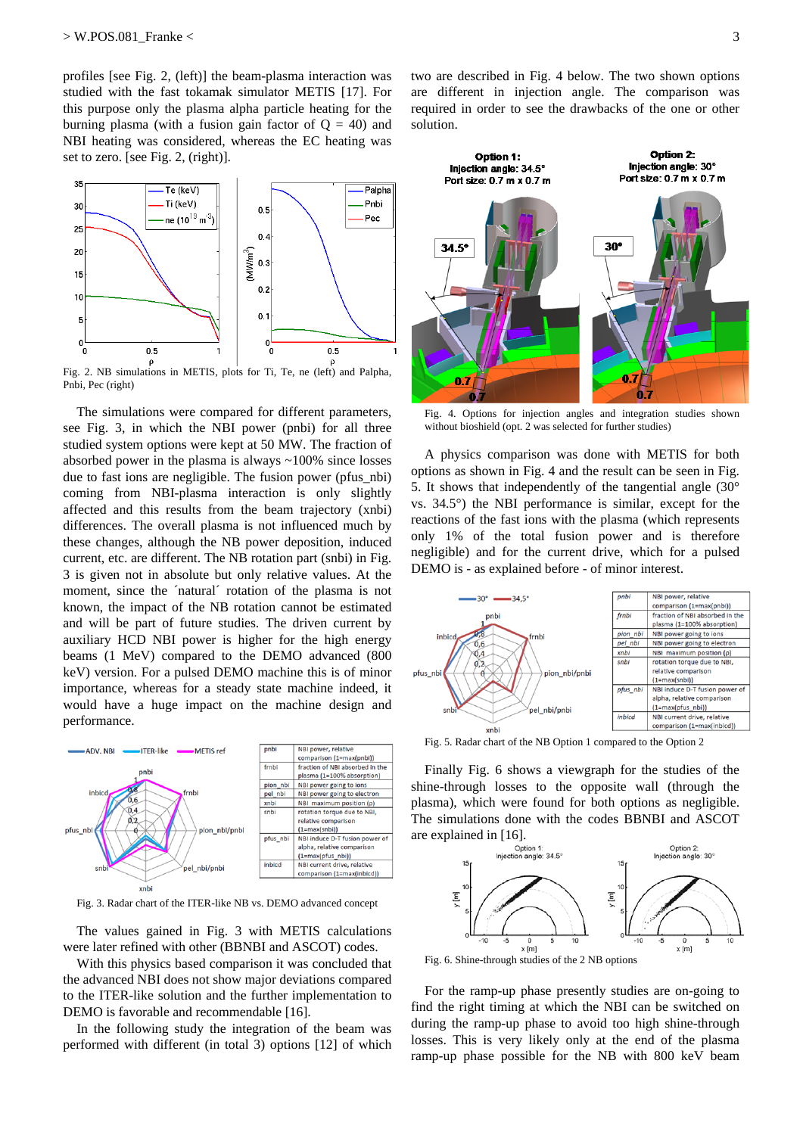profiles [see Fig. 2, (left)] the beam-plasma interaction was studied with the fast tokamak simulator METIS [17]. For this purpose only the plasma alpha particle heating for the burning plasma (with a fusion gain factor of  $Q = 40$ ) and NBI heating was considered, whereas the EC heating was set to zero. [see Fig. 2, (right)].



Fig. 2. NB simulations in METIS, plots for Ti, Te, ne (left) and Palpha, Pnbi, Pec (right)

The simulations were compared for different parameters, see Fig. 3, in which the NBI power (pnbi) for all three studied system options were kept at 50 MW. The fraction of absorbed power in the plasma is always ~100% since losses due to fast ions are negligible. The fusion power (pfus\_nbi) coming from NBI-plasma interaction is only slightly affected and this results from the beam trajectory (xnbi) differences. The overall plasma is not influenced much by these changes, although the NB power deposition, induced current, etc. are different. The NB rotation part (snbi) in Fig. 3 is given not in absolute but only relative values. At the moment, since the ´natural´ rotation of the plasma is not known, the impact of the NB rotation cannot be estimated and will be part of future studies. The driven current by auxiliary HCD NBI power is higher for the high energy beams (1 MeV) compared to the DEMO advanced (800 keV) version. For a pulsed DEMO machine this is of minor importance, whereas for a steady state machine indeed, it would have a huge impact on the machine design and performance.



Fig. 3. Radar chart of the ITER-like NB vs. DEMO advanced concept

The values gained in Fig. 3 with METIS calculations were later refined with other (BBNBI and ASCOT) codes.

With this physics based comparison it was concluded that the advanced NBI does not show major deviations compared to the ITER-like solution and the further implementation to DEMO is favorable and recommendable [16].

In the following study the integration of the beam was performed with different (in total 3) options [12] of which

two are described in Fig. 4 below. The two shown options are different in injection angle. The comparison was required in order to see the drawbacks of the one or other solution.



Fig. 4. Options for injection angles and integration studies shown without bioshield (opt. 2 was selected for further studies)

A physics comparison was done with METIS for both options as shown in Fig. 4 and the result can be seen in Fig. 5. It shows that independently of the tangential angle (30° vs. 34.5°) the NBI performance is similar, except for the reactions of the fast ions with the plasma (which represents only 1% of the total fusion power and is therefore negligible) and for the current drive, which for a pulsed DEMO is - as explained before - of minor interest.



Fig. 5. Radar chart of the NB Option 1 compared to the Option 2

Finally Fig. 6 shows a viewgraph for the studies of the shine-through losses to the opposite wall (through the plasma), which were found for both options as negligible. The simulations done with the codes BBNBI and ASCOT



For the ramp-up phase presently studies are on-going to find the right timing at which the NBI can be switched on during the ramp-up phase to avoid too high shine-through losses. This is very likely only at the end of the plasma ramp-up phase possible for the NB with 800 keV beam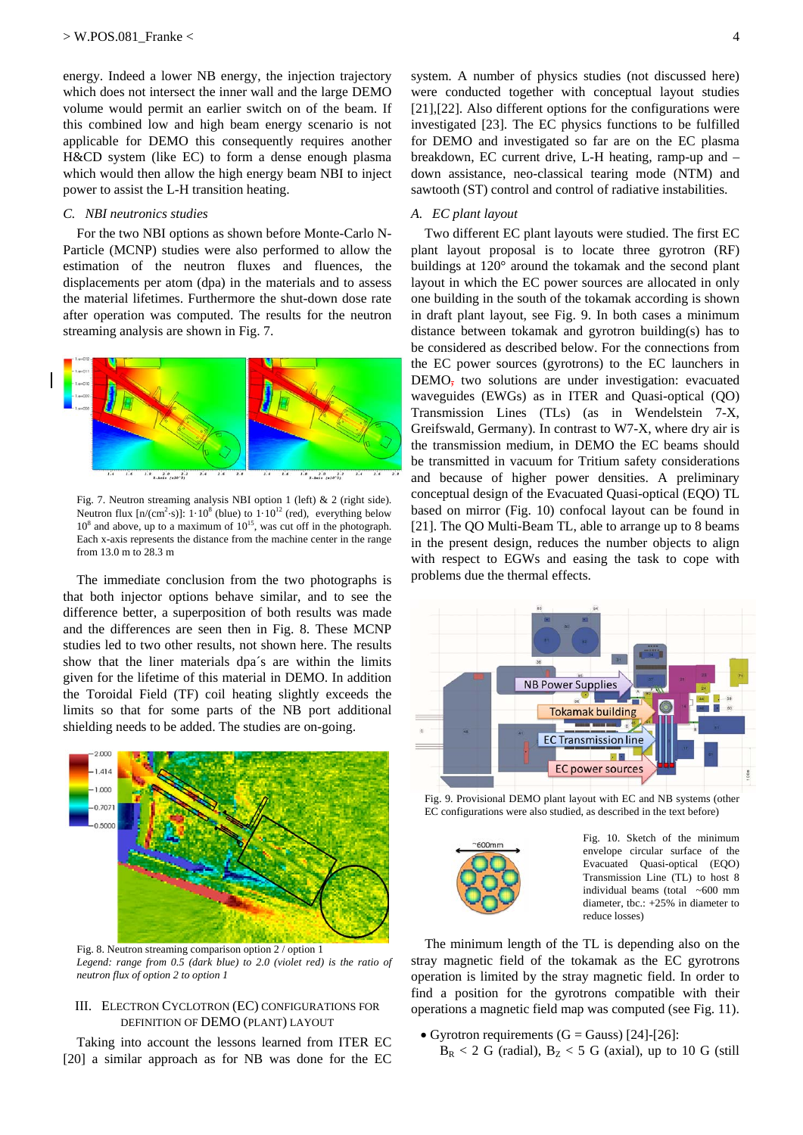energy. Indeed a lower NB energy, the injection trajectory which does not intersect the inner wall and the large DEMO volume would permit an earlier switch on of the beam. If this combined low and high beam energy scenario is not applicable for DEMO this consequently requires another H&CD system (like EC) to form a dense enough plasma which would then allow the high energy beam NBI to inject power to assist the L-H transition heating.

#### *C. NBI neutronics studies*

For the two NBI options as shown before Monte-Carlo N-Particle (MCNP) studies were also performed to allow the estimation of the neutron fluxes and fluences, the displacements per atom (dpa) in the materials and to assess the material lifetimes. Furthermore the shut-down dose rate after operation was computed. The results for the neutron streaming analysis are shown in Fig. 7.



Fig. 7. Neutron streaming analysis NBI option 1 (left) & 2 (right side). Neutron flux  $[n/(cm^2 \cdot s)]$ :  $1 \cdot 10^8$  (blue) to  $1 \cdot 10^{12}$  (red), everything below  $10^8$  and above, up to a maximum of  $10^{15}$ , was cut off in the photograph. Each x-axis represents the distance from the machine center in the range from 13.0 m to 28.3 m

The immediate conclusion from the two photographs is that both injector options behave similar, and to see the difference better, a superposition of both results was made and the differences are seen then in Fig. 8. These MCNP studies led to two other results, not shown here. The results show that the liner materials dpa´s are within the limits given for the lifetime of this material in DEMO. In addition the Toroidal Field (TF) coil heating slightly exceeds the limits so that for some parts of the NB port additional shielding needs to be added. The studies are on-going.



Legend: range from 0.5 (dark blue) to 2.0 (violet red) is the ratio of *neutron flux of option 2 to option 1* 

#### III. ELECTRON CYCLOTRON (EC) CONFIGURATIONS FOR DEFINITION OF DEMO (PLANT) LAYOUT

Taking into account the lessons learned from ITER EC [20] a similar approach as for NB was done for the EC

system. A number of physics studies (not discussed here) were conducted together with conceptual layout studies [21],[22]. Also different options for the configurations were investigated [23]. The EC physics functions to be fulfilled for DEMO and investigated so far are on the EC plasma breakdown, EC current drive, L-H heating, ramp-up and – down assistance, neo-classical tearing mode (NTM) and sawtooth (ST) control and control of radiative instabilities.

## *A. EC plant layout*

Two different EC plant layouts were studied. The first EC plant layout proposal is to locate three gyrotron (RF) buildings at 120° around the tokamak and the second plant layout in which the EC power sources are allocated in only one building in the south of the tokamak according is shown in draft plant layout, see Fig. 9. In both cases a minimum distance between tokamak and gyrotron building(s) has to be considered as described below. For the connections from the EC power sources (gyrotrons) to the EC launchers in DEMO<sub>7</sub> two solutions are under investigation: evacuated waveguides (EWGs) as in ITER and Quasi-optical (QO) Transmission Lines (TLs) (as in Wendelstein 7-X, Greifswald, Germany). In contrast to W7-X, where dry air is the transmission medium, in DEMO the EC beams should be transmitted in vacuum for Tritium safety considerations and because of higher power densities. A preliminary conceptual design of the Evacuated Quasi-optical (EQO) TL based on mirror (Fig. 10) confocal layout can be found in [21]. The QO Multi-Beam TL, able to arrange up to 8 beams in the present design, reduces the number objects to align with respect to EGWs and easing the task to cope with problems due the thermal effects.



Fig. 9. Provisional DEMO plant layout with EC and NB systems (other EC configurations were also studied, as described in the text before)



Fig. 10. Sketch of the minimum envelope circular surface of the Evacuated Quasi-optical (EQO) Transmission Line (TL) to host 8 individual beams (total  $~5600$  mm diameter, tbc.: +25% in diameter to reduce losses)

The minimum length of the TL is depending also on the stray magnetic field of the tokamak as the EC gyrotrons operation is limited by the stray magnetic field. In order to find a position for the gyrotrons compatible with their operations a magnetic field map was computed (see Fig. 11).

• Gyrotron requirements  $(G = Gauss)$  [24]-[26]:  $B_R < 2$  G (radial),  $B_Z < 5$  G (axial), up to 10 G (still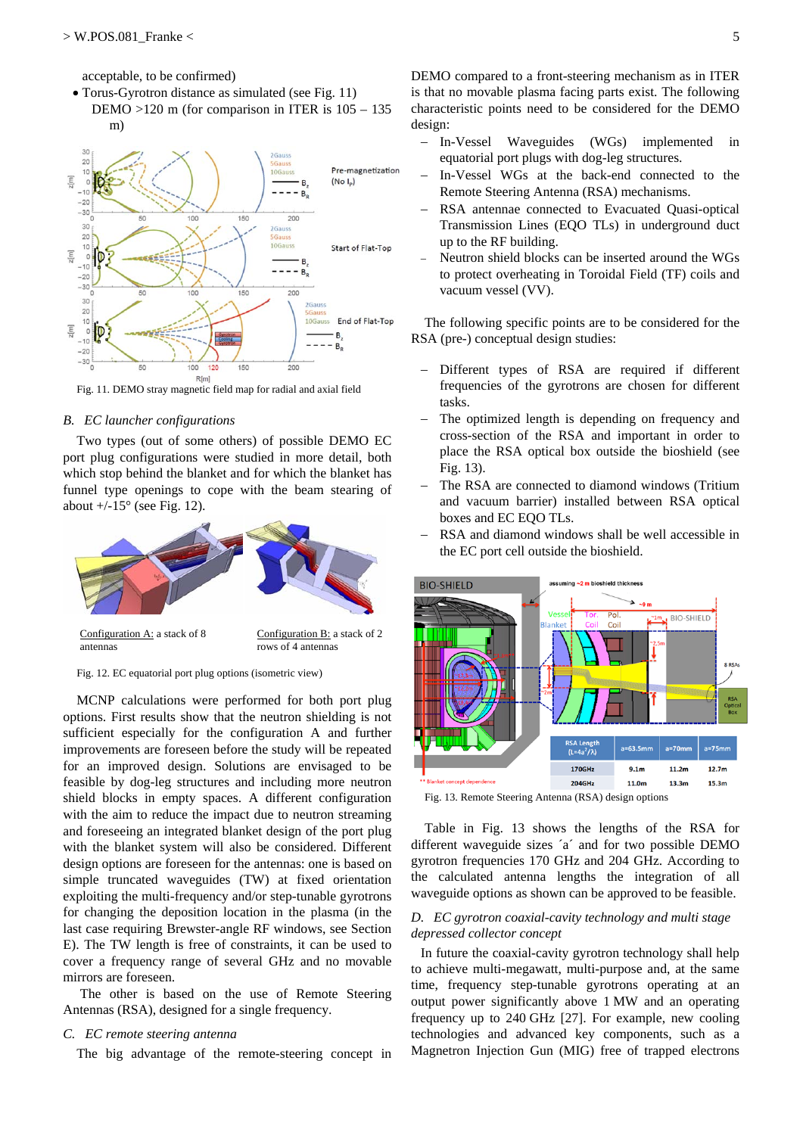m)

acceptable, to be confirmed)

 Torus-Gyrotron distance as simulated (see Fig. 11) DEMO >120 m (for comparison in ITER is 105 – 135



Fig. 11. DEMO stray magnetic field map for radial and axial field

#### *B. EC launcher configurations*

Two types (out of some others) of possible DEMO EC port plug configurations were studied in more detail, both which stop behind the blanket and for which the blanket has funnel type openings to cope with the beam stearing of about  $+/-15^{\circ}$  (see Fig. 12).



Fig. 12. EC equatorial port plug options (isometric view)

MCNP calculations were performed for both port plug options. First results show that the neutron shielding is not sufficient especially for the configuration A and further improvements are foreseen before the study will be repeated for an improved design. Solutions are envisaged to be feasible by dog-leg structures and including more neutron shield blocks in empty spaces. A different configuration with the aim to reduce the impact due to neutron streaming and foreseeing an integrated blanket design of the port plug with the blanket system will also be considered. Different design options are foreseen for the antennas: one is based on simple truncated waveguides (TW) at fixed orientation exploiting the multi-frequency and/or step-tunable gyrotrons for changing the deposition location in the plasma (in the last case requiring Brewster-angle RF windows, see Section E). The TW length is free of constraints, it can be used to cover a frequency range of several GHz and no movable mirrors are foreseen.

 The other is based on the use of Remote Steering Antennas (RSA), designed for a single frequency.

#### *C. EC remote steering antenna*

The big advantage of the remote-steering concept in

DEMO compared to a front-steering mechanism as in ITER is that no movable plasma facing parts exist. The following characteristic points need to be considered for the DEMO design:

- In-Vessel Waveguides (WGs) implemented in equatorial port plugs with dog-leg structures.
- In-Vessel WGs at the back-end connected to the Remote Steering Antenna (RSA) mechanisms.
- RSA antennae connected to Evacuated Quasi-optical Transmission Lines (EQO TLs) in underground duct up to the RF building.
- Neutron shield blocks can be inserted around the WGs to protect overheating in Toroidal Field (TF) coils and vacuum vessel (VV).

The following specific points are to be considered for the RSA (pre-) conceptual design studies:

- Different types of RSA are required if different frequencies of the gyrotrons are chosen for different tasks.
- The optimized length is depending on frequency and cross-section of the RSA and important in order to place the RSA optical box outside the bioshield (see Fig. 13).
- The RSA are connected to diamond windows (Tritium and vacuum barrier) installed between RSA optical boxes and EC EQO TLs.
- RSA and diamond windows shall be well accessible in the EC port cell outside the bioshield.



Fig. 13. Remote Steering Antenna (RSA) design options

Table in Fig. 13 shows the lengths of the RSA for different waveguide sizes ´a´ and for two possible DEMO gyrotron frequencies 170 GHz and 204 GHz. According to the calculated antenna lengths the integration of all waveguide options as shown can be approved to be feasible.

# *D. EC gyrotron coaxial-cavity technology and multi stage depressed collector concept*

In future the coaxial-cavity gyrotron technology shall help to achieve multi-megawatt, multi-purpose and, at the same time, frequency step-tunable gyrotrons operating at an output power significantly above 1 MW and an operating frequency up to 240 GHz [27]. For example, new cooling technologies and advanced key components, such as a Magnetron Injection Gun (MIG) free of trapped electrons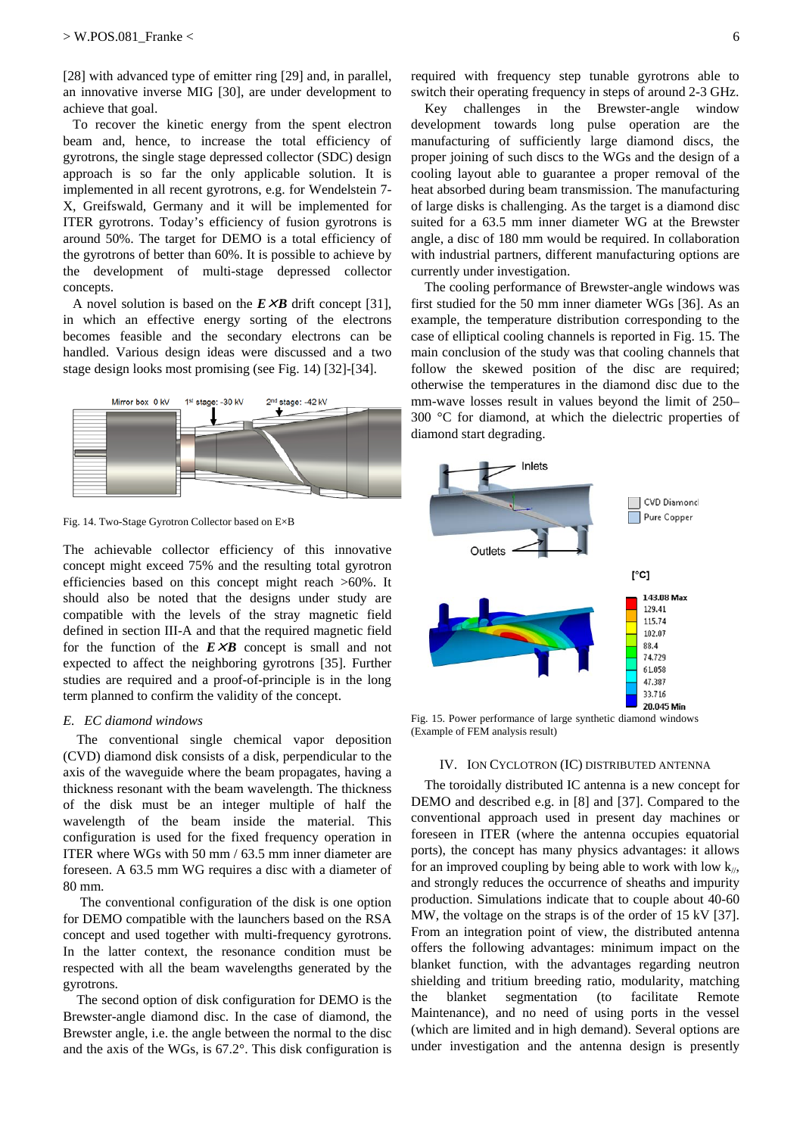[28] with advanced type of emitter ring [29] and, in parallel, an innovative inverse MIG [30], are under development to achieve that goal.

To recover the kinetic energy from the spent electron beam and, hence, to increase the total efficiency of gyrotrons, the single stage depressed collector (SDC) design approach is so far the only applicable solution. It is implemented in all recent gyrotrons, e.g. for Wendelstein 7- X, Greifswald, Germany and it will be implemented for ITER gyrotrons. Today's efficiency of fusion gyrotrons is around 50%. The target for DEMO is a total efficiency of the gyrotrons of better than 60%. It is possible to achieve by the development of multi-stage depressed collector concepts.

A novel solution is based on the  $E \times B$  drift concept [31], in which an effective energy sorting of the electrons becomes feasible and the secondary electrons can be handled. Various design ideas were discussed and a two stage design looks most promising (see Fig. 14) [32]-[34].



Fig. 14. Two-Stage Gyrotron Collector based on E×B

The achievable collector efficiency of this innovative concept might exceed 75% and the resulting total gyrotron efficiencies based on this concept might reach >60%. It should also be noted that the designs under study are compatible with the levels of the stray magnetic field defined in section III-A and that the required magnetic field for the function of the  $E \times B$  concept is small and not expected to affect the neighboring gyrotrons [35]. Further studies are required and a proof-of-principle is in the long term planned to confirm the validity of the concept.

#### *E. EC diamond windows*

The conventional single chemical vapor deposition (CVD) diamond disk consists of a disk, perpendicular to the axis of the waveguide where the beam propagates, having a thickness resonant with the beam wavelength. The thickness of the disk must be an integer multiple of half the wavelength of the beam inside the material. This configuration is used for the fixed frequency operation in ITER where WGs with 50 mm / 63.5 mm inner diameter are foreseen. A 63.5 mm WG requires a disc with a diameter of 80 mm.

 The conventional configuration of the disk is one option for DEMO compatible with the launchers based on the RSA concept and used together with multi-frequency gyrotrons. In the latter context, the resonance condition must be respected with all the beam wavelengths generated by the gyrotrons.

The second option of disk configuration for DEMO is the Brewster-angle diamond disc. In the case of diamond, the Brewster angle, i.e. the angle between the normal to the disc and the axis of the WGs, is 67.2°. This disk configuration is required with frequency step tunable gyrotrons able to switch their operating frequency in steps of around 2-3 GHz.

Key challenges in the Brewster-angle window development towards long pulse operation are the manufacturing of sufficiently large diamond discs, the proper joining of such discs to the WGs and the design of a cooling layout able to guarantee a proper removal of the heat absorbed during beam transmission. The manufacturing of large disks is challenging. As the target is a diamond disc suited for a 63.5 mm inner diameter WG at the Brewster angle, a disc of 180 mm would be required. In collaboration with industrial partners, different manufacturing options are currently under investigation.

The cooling performance of Brewster-angle windows was first studied for the 50 mm inner diameter WGs [36]. As an example, the temperature distribution corresponding to the case of elliptical cooling channels is reported in Fig. 15. The main conclusion of the study was that cooling channels that follow the skewed position of the disc are required; otherwise the temperatures in the diamond disc due to the mm-wave losses result in values beyond the limit of 250– 300 °C for diamond, at which the dielectric properties of diamond start degrading.



Fig. 15. Power performance of large synthetic diamond windows (Example of FEM analysis result)

#### IV. ION CYCLOTRON (IC) DISTRIBUTED ANTENNA

The toroidally distributed IC antenna is a new concept for DEMO and described e.g. in [8] and [37]. Compared to the conventional approach used in present day machines or foreseen in ITER (where the antenna occupies equatorial ports), the concept has many physics advantages: it allows for an improved coupling by being able to work with low  $k_{\ell}$ , and strongly reduces the occurrence of sheaths and impurity production. Simulations indicate that to couple about 40-60 MW, the voltage on the straps is of the order of 15 kV [37]. From an integration point of view, the distributed antenna offers the following advantages: minimum impact on the blanket function, with the advantages regarding neutron shielding and tritium breeding ratio, modularity, matching the blanket segmentation (to facilitate Remote Maintenance), and no need of using ports in the vessel (which are limited and in high demand). Several options are under investigation and the antenna design is presently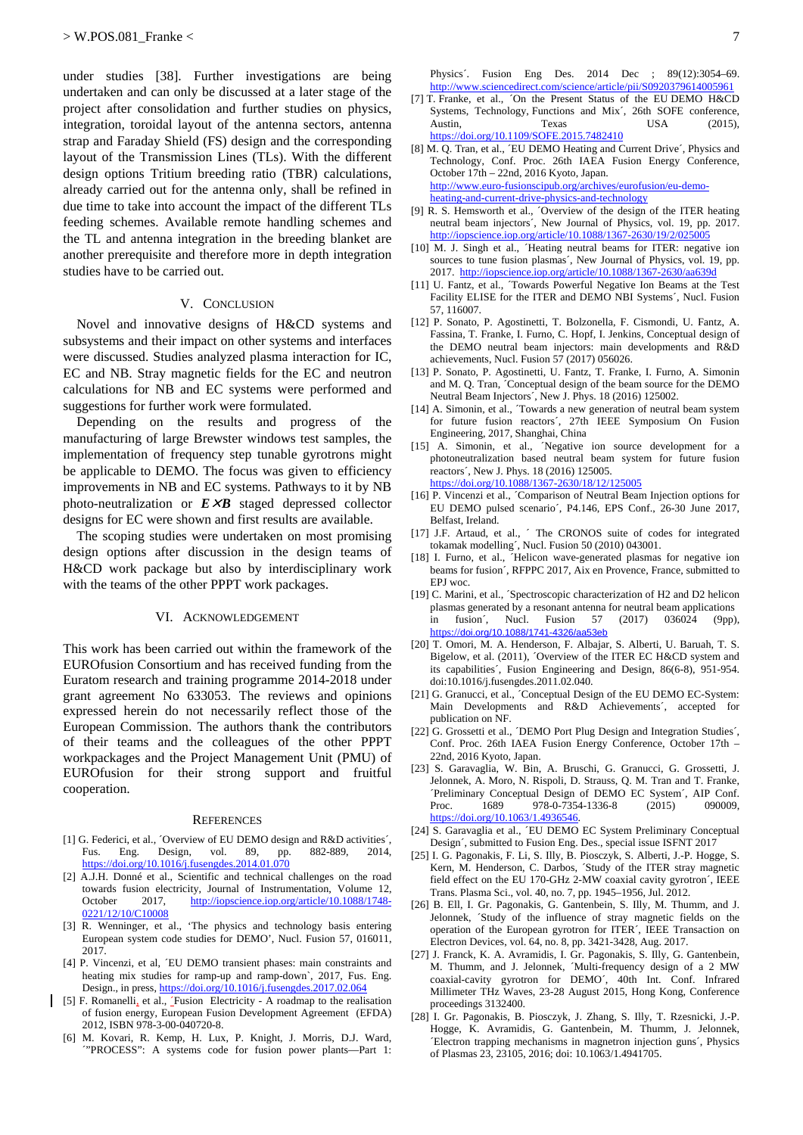under studies [38]. Further investigations are being undertaken and can only be discussed at a later stage of the project after consolidation and further studies on physics, integration, toroidal layout of the antenna sectors, antenna strap and Faraday Shield (FS) design and the corresponding layout of the Transmission Lines (TLs). With the different design options Tritium breeding ratio (TBR) calculations, already carried out for the antenna only, shall be refined in due time to take into account the impact of the different TLs feeding schemes. Available remote handling schemes and the TL and antenna integration in the breeding blanket are another prerequisite and therefore more in depth integration studies have to be carried out.

#### V. CONCLUSION

Novel and innovative designs of H&CD systems and subsystems and their impact on other systems and interfaces were discussed. Studies analyzed plasma interaction for IC, EC and NB. Stray magnetic fields for the EC and neutron calculations for NB and EC systems were performed and suggestions for further work were formulated.

Depending on the results and progress of the manufacturing of large Brewster windows test samples, the implementation of frequency step tunable gyrotrons might be applicable to DEMO. The focus was given to efficiency improvements in NB and EC systems. Pathways to it by NB photo-neutralization or  $E \times B$  staged depressed collector designs for EC were shown and first results are available.

The scoping studies were undertaken on most promising design options after discussion in the design teams of H&CD work package but also by interdisciplinary work with the teams of the other PPPT work packages.

#### VI. ACKNOWLEDGEMENT

This work has been carried out within the framework of the EUROfusion Consortium and has received funding from the Euratom research and training programme 2014-2018 under grant agreement No 633053. The reviews and opinions expressed herein do not necessarily reflect those of the European Commission. The authors thank the contributors of their teams and the colleagues of the other PPPT workpackages and the Project Management Unit (PMU) of EUROfusion for their strong support and fruitful cooperation.

#### **REFERENCES**

- [1] G. Federici, et al., ´Overview of EU DEMO design and  $R&D$  activities´,<br>Fus Eng Design vol  $89 \text{ m}$   $882.889$   $2014$ Fus. Eng. Design, vol. 89, pp. 882-889, 2014, https://doi.org/10.1016/j.fusengdes.2014.01.070
- [2] A.J.H. Donné et al., Scientific and technical challenges on the road towards fusion electricity, Journal of Instrumentation, Volume 12, October 2017, http://iopscience.iop.org/article/10.1088/1748- 0221/12/10/C10008
- [3] R. Wenninger, et al., 'The physics and technology basis entering European system code studies for DEMO', Nucl. Fusion 57, 016011, 2017.
- [4] P. Vincenzi, et al, ´EU DEMO transient phases: main constraints and heating mix studies for ramp-up and ramp-down`, 2017, Fus. Eng. Design., in press, https://doi.org/10.1016/j.fusengdes.2017.02.064
- [5] F. Romanelli, et al., Fusion Electricity A roadmap to the realisation of fusion energy, European Fusion Development Agreement (EFDA) 2012, ISBN 978-3-00-040720-8.
- [6] M. Kovari, R. Kemp, H. Lux, P. Knight, J. Morris, D.J. Ward, ´"PROCESS": A systems code for fusion power plants—Part 1:

Physics´. Fusion Eng Des. 2014 Dec ; 89(12):3054–69. http://www.sciencedirect.com/science/article/pii/S0920379614005961

- [7] T. Franke, et al., 'On the Present Status of the EU DEMO H&CD Systems, Technology, Functions and Mix´, 26th SOFE conference, Austin, Texas USA (2015), https://doi.org/10.1109/SOFE.2015.7482410
- [8] M. Q. Tran, et al., ´EU DEMO Heating and Current Drive´, Physics and Technology, Conf. Proc. 26th IAEA Fusion Energy Conference, October 17th – 22nd, 2016 Kyoto, Japan. http://www.euro-fusionscipub.org/archives/eurofusion/eu-demoheating-and-current-drive-physics-and-technology
- [9] R. S. Hemsworth et al., ´Overview of the design of the ITER heating neutral beam injectors´, New Journal of Physics, vol. 19, pp. 2017. http://iopscience.iop.org/article/10.1088/1367-2630/19/2/025005
- [10] M. J. Singh et al., ´Heating neutral beams for ITER: negative ion sources to tune fusion plasmas´, New Journal of Physics, vol. 19, pp. 2017. http://iopscience.iop.org/article/10.1088/1367-2630/aa639d
- [11] U. Fantz, et al., 'Towards Powerful Negative Ion Beams at the Test Facility ELISE for the ITER and DEMO NBI Systems´, Nucl. Fusion 57, 116007.
- [12] P. Sonato, P. Agostinetti, T. Bolzonella, F. Cismondi, U. Fantz, A. Fassina, T. Franke, I. Furno, C. Hopf, I. Jenkins, Conceptual design of the DEMO neutral beam injectors: main developments and R&D achievements, Nucl. Fusion 57 (2017) 056026.
- [13] P. Sonato, P. Agostinetti, U. Fantz, T. Franke, I. Furno, A. Simonin and M. Q. Tran, ´Conceptual design of the beam source for the DEMO Neutral Beam Injectors´, New J. Phys. 18 (2016) 125002.
- [14] A. Simonin, et al., Towards a new generation of neutral beam system for future fusion reactors´, 27th IEEE Symposium On Fusion Engineering, 2017, Shanghai, China
- [15] A. Simonin, et al., 'Negative ion source development for a photoneutralization based neutral beam system for future fusion reactors´, New J. Phys. 18 (2016) 125005. https://doi.org/10.1088/1367-2630/18/12/125005
- [16] P. Vincenzi et al., *Comparison of Neutral Beam Injection options for* EU DEMO pulsed scenario´, P4.146, EPS Conf., 26-30 June 2017, Belfast, Ireland.
- [17] J.F. Artaud, et al.,  $\hat{ }$  The CRONOS suite of codes for integrated tokamak modelling´, Nucl. Fusion 50 (2010) 043001.
- [18] I. Furno, et al., *´Helicon wave-generated plasmas for negative ion* beams for fusion´, RFPPC 2017, Aix en Provence, France, submitted to EPJ woc.
- [19] C. Marini, et al., ´Spectroscopic characterization of H2 and D2 helicon plasmas generated by a resonant antenna for neutral beam applications in fusion´, Nucl. Fusion 57 (2017) 036024 (9pp), https://doi.org/10.1088/1741-4326/aa53eb
- [20] T. Omori, M. A. Henderson, F. Albajar, S. Alberti, U. Baruah, T. S. Bigelow, et al. (2011), ´Overview of the ITER EC H&CD system and its capabilities´, Fusion Engineering and Design, 86(6-8), 951-954. doi:10.1016/j.fusengdes.2011.02.040.
- [21] G. Granucci, et al., ´Conceptual Design of the EU DEMO EC-System: Main Developments and R&D Achievements´, accepted for publication on NF.
- [22] G. Grossetti et al., ´DEMO Port Plug Design and Integration Studies´, Conf. Proc. 26th IAEA Fusion Energy Conference, October 17th – 22nd, 2016 Kyoto, Japan.
- [23] S. Garavaglia, W. Bin, A. Bruschi, G. Granucci, G. Grossetti, J. Jelonnek, A. Moro, N. Rispoli, D. Strauss, Q. M. Tran and T. Franke, ´Preliminary Conceptual Design of DEMO EC System´, AIP Conf. Proc. 1689 978-0-7354-1336-8 (2015) 090009, https://doi.org/10.1063/1.4936546.
- [24] S. Garavaglia et al., ´EU DEMO EC System Preliminary Conceptual Design´, submitted to Fusion Eng. Des., special issue ISFNT 2017
- [25] I. G. Pagonakis, F. Li, S. Illy, B. Piosczyk, S. Alberti, J.-P. Hogge, S. Kern, M. Henderson, C. Darbos, ´Study of the ITER stray magnetic field effect on the EU 170-GHz 2-MW coaxial cavity gyrotron´, IEEE Trans. Plasma Sci., vol. 40, no. 7, pp. 1945–1956, Jul. 2012.
- [26] B. Ell, I. Gr. Pagonakis, G. Gantenbein, S. Illy, M. Thumm, and J. Jelonnek, ´Study of the influence of stray magnetic fields on the operation of the European gyrotron for ITER´, IEEE Transaction on Electron Devices, vol. 64, no. 8, pp. 3421-3428, Aug. 2017.
- [27] J. Franck, K. A. Avramidis, I. Gr. Pagonakis, S. Illy, G. Gantenbein, M. Thumm, and J. Jelonnek, ´Multi-frequency design of a 2 MW coaxial-cavity gyrotron for DEMO´, 40th Int. Conf. Infrared Millimeter THz Waves, 23-28 August 2015, Hong Kong, Conference proceedings 3132400.
- [28] I. Gr. Pagonakis, B. Piosczyk, J. Zhang, S. Illy, T. Rzesnicki, J.-P. Hogge, K. Avramidis, G. Gantenbein, M. Thumm, J. Jelonnek, ´Electron trapping mechanisms in magnetron injection guns´, Physics of Plasmas 23, 23105, 2016; doi: 10.1063/1.4941705.